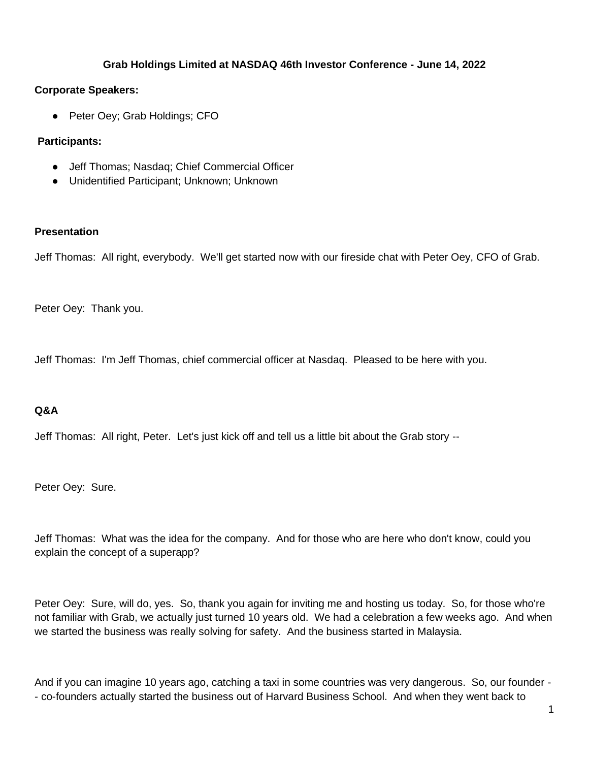### **Grab Holdings Limited at NASDAQ 46th Investor Conference - June 14, 2022**

### **Corporate Speakers:**

● Peter Oey; Grab Holdings; CFO

## **Participants:**

- Jeff Thomas; Nasdaq; Chief Commercial Officer
- Unidentified Participant; Unknown; Unknown

### **Presentation**

Jeff Thomas: All right, everybody. We'll get started now with our fireside chat with Peter Oey, CFO of Grab.

Peter Oey: Thank you.

Jeff Thomas: I'm Jeff Thomas, chief commercial officer at Nasdaq. Pleased to be here with you.

# **Q&A**

Jeff Thomas: All right, Peter. Let's just kick off and tell us a little bit about the Grab story --

Peter Oey: Sure.

Jeff Thomas: What was the idea for the company. And for those who are here who don't know, could you explain the concept of a superapp?

Peter Oey: Sure, will do, yes. So, thank you again for inviting me and hosting us today. So, for those who're not familiar with Grab, we actually just turned 10 years old. We had a celebration a few weeks ago. And when we started the business was really solving for safety. And the business started in Malaysia.

And if you can imagine 10 years ago, catching a taxi in some countries was very dangerous. So, our founder - - co-founders actually started the business out of Harvard Business School. And when they went back to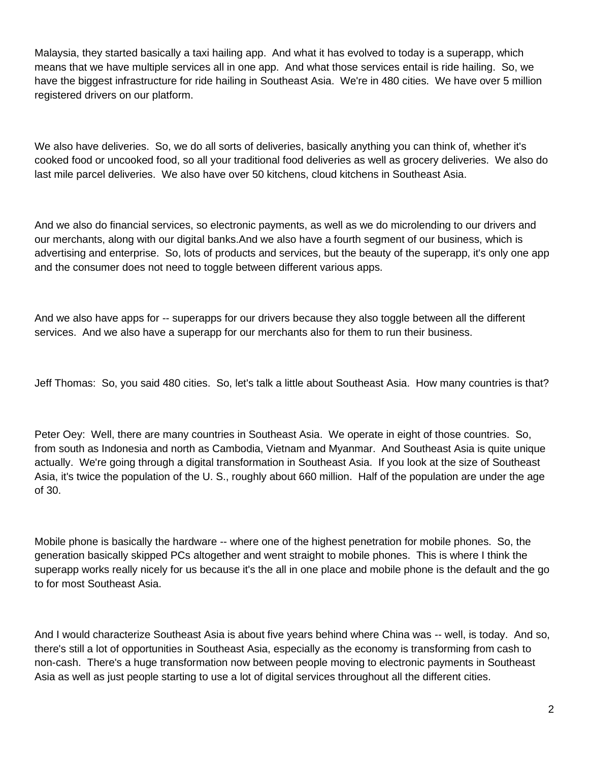Malaysia, they started basically a taxi hailing app. And what it has evolved to today is a superapp, which means that we have multiple services all in one app. And what those services entail is ride hailing. So, we have the biggest infrastructure for ride hailing in Southeast Asia. We're in 480 cities. We have over 5 million registered drivers on our platform.

We also have deliveries. So, we do all sorts of deliveries, basically anything you can think of, whether it's cooked food or uncooked food, so all your traditional food deliveries as well as grocery deliveries. We also do last mile parcel deliveries. We also have over 50 kitchens, cloud kitchens in Southeast Asia.

And we also do financial services, so electronic payments, as well as we do microlending to our drivers and our merchants, along with our digital banks.And we also have a fourth segment of our business, which is advertising and enterprise. So, lots of products and services, but the beauty of the superapp, it's only one app and the consumer does not need to toggle between different various apps.

And we also have apps for -- superapps for our drivers because they also toggle between all the different services. And we also have a superapp for our merchants also for them to run their business.

Jeff Thomas: So, you said 480 cities. So, let's talk a little about Southeast Asia. How many countries is that?

Peter Oey: Well, there are many countries in Southeast Asia. We operate in eight of those countries. So, from south as Indonesia and north as Cambodia, Vietnam and Myanmar. And Southeast Asia is quite unique actually. We're going through a digital transformation in Southeast Asia. If you look at the size of Southeast Asia, it's twice the population of the U. S., roughly about 660 million. Half of the population are under the age of 30.

Mobile phone is basically the hardware -- where one of the highest penetration for mobile phones. So, the generation basically skipped PCs altogether and went straight to mobile phones. This is where I think the superapp works really nicely for us because it's the all in one place and mobile phone is the default and the go to for most Southeast Asia.

And I would characterize Southeast Asia is about five years behind where China was -- well, is today. And so, there's still a lot of opportunities in Southeast Asia, especially as the economy is transforming from cash to non-cash. There's a huge transformation now between people moving to electronic payments in Southeast Asia as well as just people starting to use a lot of digital services throughout all the different cities.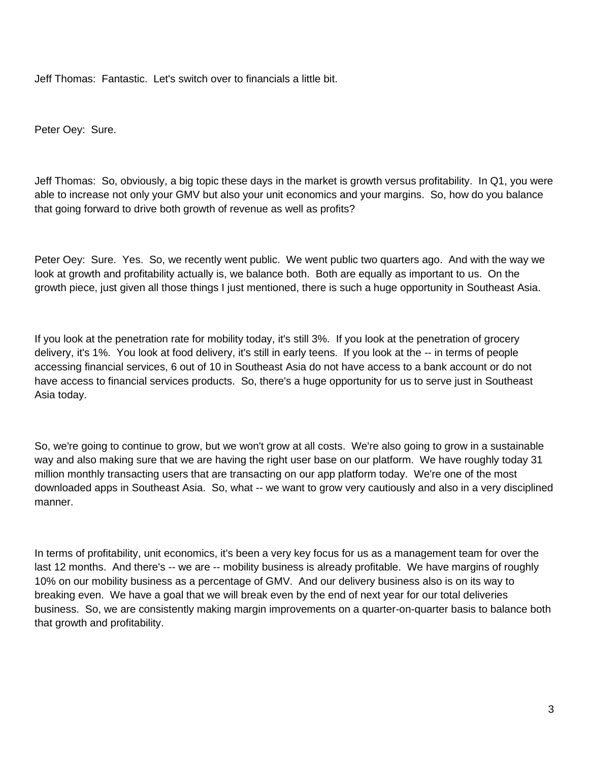Jeff Thomas: Fantastic. Let's switch over to financials a little bit.

Peter Oey: Sure.

Jeff Thomas: So, obviously, a big topic these days in the market is growth versus profitability. In Q1, you were able to increase not only your GMV but also your unit economics and your margins. So, how do you balance that going forward to drive both growth of revenue as well as profits?

Peter Oey: Sure. Yes. So, we recently went public. We went public two quarters ago. And with the way we look at growth and profitability actually is, we balance both. Both are equally as important to us. On the growth piece, just given all those things I just mentioned, there is such a huge opportunity in Southeast Asia.

If you look at the penetration rate for mobility today, it's still 3%. If you look at the penetration of grocery delivery, it's 1%. You look at food delivery, it's still in early teens. If you look at the -- in terms of people accessing financial services, 6 out of 10 in Southeast Asia do not have access to a bank account or do not have access to financial services products. So, there's a huge opportunity for us to serve just in Southeast Asia today.

So, we're going to continue to grow, but we won't grow at all costs. We're also going to grow in a sustainable way and also making sure that we are having the right user base on our platform. We have roughly today 31 million monthly transacting users that are transacting on our app platform today. We're one of the most downloaded apps in Southeast Asia. So, what -- we want to grow very cautiously and also in a very disciplined manner.

In terms of profitability, unit economics, it's been a very key focus for us as a management team for over the last 12 months. And there's -- we are -- mobility business is already profitable. We have margins of roughly 10% on our mobility business as a percentage of GMV. And our delivery business also is on its way to breaking even. We have a goal that we will break even by the end of next year for our total deliveries business. So, we are consistently making margin improvements on a quarter-on-quarter basis to balance both that growth and profitability.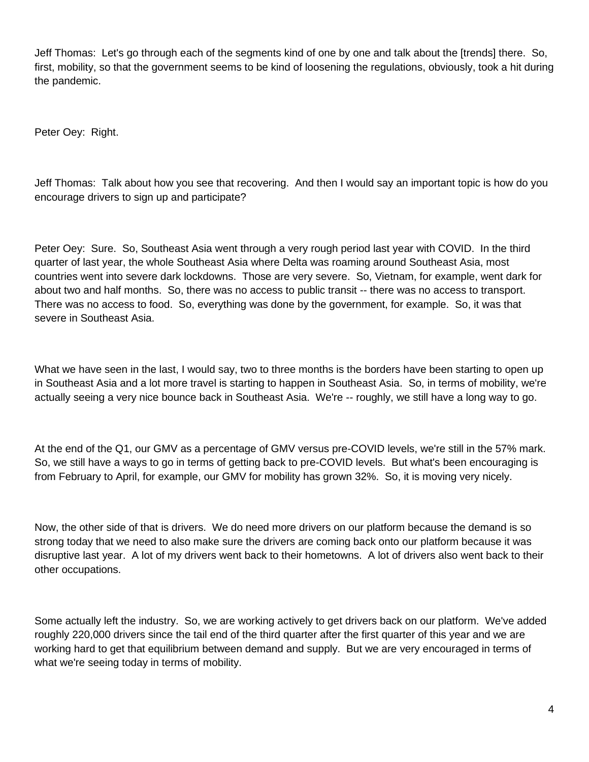Jeff Thomas: Let's go through each of the segments kind of one by one and talk about the [trends] there. So, first, mobility, so that the government seems to be kind of loosening the regulations, obviously, took a hit during the pandemic.

Peter Oey: Right.

Jeff Thomas: Talk about how you see that recovering. And then I would say an important topic is how do you encourage drivers to sign up and participate?

Peter Oey: Sure. So, Southeast Asia went through a very rough period last year with COVID. In the third quarter of last year, the whole Southeast Asia where Delta was roaming around Southeast Asia, most countries went into severe dark lockdowns. Those are very severe. So, Vietnam, for example, went dark for about two and half months. So, there was no access to public transit -- there was no access to transport. There was no access to food. So, everything was done by the government, for example. So, it was that severe in Southeast Asia.

What we have seen in the last, I would say, two to three months is the borders have been starting to open up in Southeast Asia and a lot more travel is starting to happen in Southeast Asia. So, in terms of mobility, we're actually seeing a very nice bounce back in Southeast Asia. We're -- roughly, we still have a long way to go.

At the end of the Q1, our GMV as a percentage of GMV versus pre-COVID levels, we're still in the 57% mark. So, we still have a ways to go in terms of getting back to pre-COVID levels. But what's been encouraging is from February to April, for example, our GMV for mobility has grown 32%. So, it is moving very nicely.

Now, the other side of that is drivers. We do need more drivers on our platform because the demand is so strong today that we need to also make sure the drivers are coming back onto our platform because it was disruptive last year. A lot of my drivers went back to their hometowns. A lot of drivers also went back to their other occupations.

Some actually left the industry. So, we are working actively to get drivers back on our platform. We've added roughly 220,000 drivers since the tail end of the third quarter after the first quarter of this year and we are working hard to get that equilibrium between demand and supply. But we are very encouraged in terms of what we're seeing today in terms of mobility.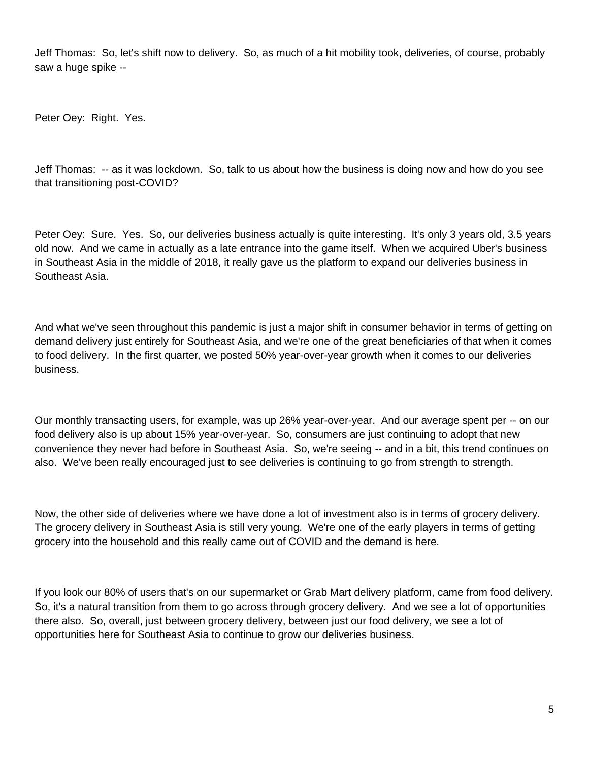Jeff Thomas: So, let's shift now to delivery. So, as much of a hit mobility took, deliveries, of course, probably saw a huge spike --

Peter Oey: Right. Yes.

Jeff Thomas: -- as it was lockdown. So, talk to us about how the business is doing now and how do you see that transitioning post-COVID?

Peter Oey: Sure. Yes. So, our deliveries business actually is quite interesting. It's only 3 years old, 3.5 years old now. And we came in actually as a late entrance into the game itself. When we acquired Uber's business in Southeast Asia in the middle of 2018, it really gave us the platform to expand our deliveries business in Southeast Asia.

And what we've seen throughout this pandemic is just a major shift in consumer behavior in terms of getting on demand delivery just entirely for Southeast Asia, and we're one of the great beneficiaries of that when it comes to food delivery. In the first quarter, we posted 50% year-over-year growth when it comes to our deliveries business.

Our monthly transacting users, for example, was up 26% year-over-year. And our average spent per -- on our food delivery also is up about 15% year-over-year. So, consumers are just continuing to adopt that new convenience they never had before in Southeast Asia. So, we're seeing -- and in a bit, this trend continues on also. We've been really encouraged just to see deliveries is continuing to go from strength to strength.

Now, the other side of deliveries where we have done a lot of investment also is in terms of grocery delivery. The grocery delivery in Southeast Asia is still very young. We're one of the early players in terms of getting grocery into the household and this really came out of COVID and the demand is here.

If you look our 80% of users that's on our supermarket or Grab Mart delivery platform, came from food delivery. So, it's a natural transition from them to go across through grocery delivery. And we see a lot of opportunities there also. So, overall, just between grocery delivery, between just our food delivery, we see a lot of opportunities here for Southeast Asia to continue to grow our deliveries business.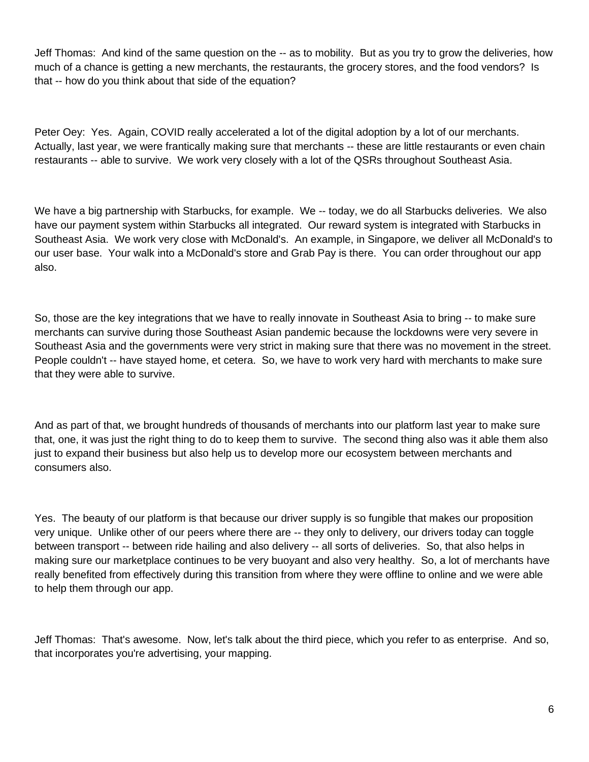Jeff Thomas: And kind of the same question on the -- as to mobility. But as you try to grow the deliveries, how much of a chance is getting a new merchants, the restaurants, the grocery stores, and the food vendors? Is that -- how do you think about that side of the equation?

Peter Oey: Yes. Again, COVID really accelerated a lot of the digital adoption by a lot of our merchants. Actually, last year, we were frantically making sure that merchants -- these are little restaurants or even chain restaurants -- able to survive. We work very closely with a lot of the QSRs throughout Southeast Asia.

We have a big partnership with Starbucks, for example. We -- today, we do all Starbucks deliveries. We also have our payment system within Starbucks all integrated. Our reward system is integrated with Starbucks in Southeast Asia. We work very close with McDonald's. An example, in Singapore, we deliver all McDonald's to our user base. Your walk into a McDonald's store and Grab Pay is there. You can order throughout our app also.

So, those are the key integrations that we have to really innovate in Southeast Asia to bring -- to make sure merchants can survive during those Southeast Asian pandemic because the lockdowns were very severe in Southeast Asia and the governments were very strict in making sure that there was no movement in the street. People couldn't -- have stayed home, et cetera. So, we have to work very hard with merchants to make sure that they were able to survive.

And as part of that, we brought hundreds of thousands of merchants into our platform last year to make sure that, one, it was just the right thing to do to keep them to survive. The second thing also was it able them also just to expand their business but also help us to develop more our ecosystem between merchants and consumers also.

Yes. The beauty of our platform is that because our driver supply is so fungible that makes our proposition very unique. Unlike other of our peers where there are -- they only to delivery, our drivers today can toggle between transport -- between ride hailing and also delivery -- all sorts of deliveries. So, that also helps in making sure our marketplace continues to be very buoyant and also very healthy. So, a lot of merchants have really benefited from effectively during this transition from where they were offline to online and we were able to help them through our app.

Jeff Thomas: That's awesome. Now, let's talk about the third piece, which you refer to as enterprise. And so, that incorporates you're advertising, your mapping.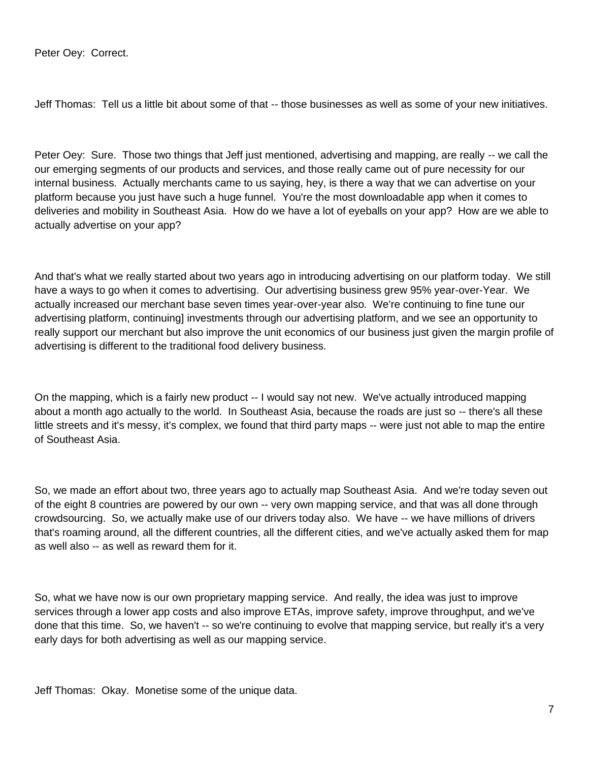Peter Oey: Correct.

Jeff Thomas: Tell us a little bit about some of that -- those businesses as well as some of your new initiatives.

Peter Oey: Sure. Those two things that Jeff just mentioned, advertising and mapping, are really -- we call the our emerging segments of our products and services, and those really came out of pure necessity for our internal business. Actually merchants came to us saying, hey, is there a way that we can advertise on your platform because you just have such a huge funnel. You're the most downloadable app when it comes to deliveries and mobility in Southeast Asia. How do we have a lot of eyeballs on your app? How are we able to actually advertise on your app?

And that's what we really started about two years ago in introducing advertising on our platform today. We still have a ways to go when it comes to advertising. Our advertising business grew 95% year-over-Year. We actually increased our merchant base seven times year-over-year also. We're continuing to fine tune our advertising platform, continuing] investments through our advertising platform, and we see an opportunity to really support our merchant but also improve the unit economics of our business just given the margin profile of advertising is different to the traditional food delivery business.

On the mapping, which is a fairly new product -- I would say not new. We've actually introduced mapping about a month ago actually to the world. In Southeast Asia, because the roads are just so -- there's all these little streets and it's messy, it's complex, we found that third party maps -- were just not able to map the entire of Southeast Asia.

So, we made an effort about two, three years ago to actually map Southeast Asia. And we're today seven out of the eight 8 countries are powered by our own -- very own mapping service, and that was all done through crowdsourcing. So, we actually make use of our drivers today also. We have -- we have millions of drivers that's roaming around, all the different countries, all the different cities, and we've actually asked them for map as well also -- as well as reward them for it.

So, what we have now is our own proprietary mapping service. And really, the idea was just to improve services through a lower app costs and also improve ETAs, improve safety, improve throughput, and we've done that this time. So, we haven't -- so we're continuing to evolve that mapping service, but really it's a very early days for both advertising as well as our mapping service.

Jeff Thomas: Okay. Monetise some of the unique data.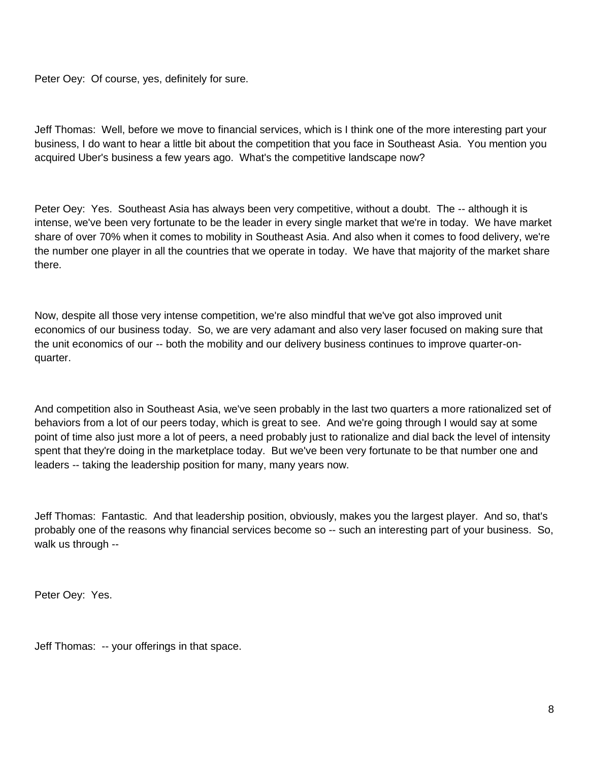Peter Oey: Of course, yes, definitely for sure.

Jeff Thomas: Well, before we move to financial services, which is I think one of the more interesting part your business, I do want to hear a little bit about the competition that you face in Southeast Asia. You mention you acquired Uber's business a few years ago. What's the competitive landscape now?

Peter Oey: Yes. Southeast Asia has always been very competitive, without a doubt. The -- although it is intense, we've been very fortunate to be the leader in every single market that we're in today. We have market share of over 70% when it comes to mobility in Southeast Asia. And also when it comes to food delivery, we're the number one player in all the countries that we operate in today. We have that majority of the market share there.

Now, despite all those very intense competition, we're also mindful that we've got also improved unit economics of our business today. So, we are very adamant and also very laser focused on making sure that the unit economics of our -- both the mobility and our delivery business continues to improve quarter-onquarter.

And competition also in Southeast Asia, we've seen probably in the last two quarters a more rationalized set of behaviors from a lot of our peers today, which is great to see. And we're going through I would say at some point of time also just more a lot of peers, a need probably just to rationalize and dial back the level of intensity spent that they're doing in the marketplace today. But we've been very fortunate to be that number one and leaders -- taking the leadership position for many, many years now.

Jeff Thomas: Fantastic. And that leadership position, obviously, makes you the largest player. And so, that's probably one of the reasons why financial services become so -- such an interesting part of your business. So, walk us through --

Peter Oey: Yes.

Jeff Thomas: -- your offerings in that space.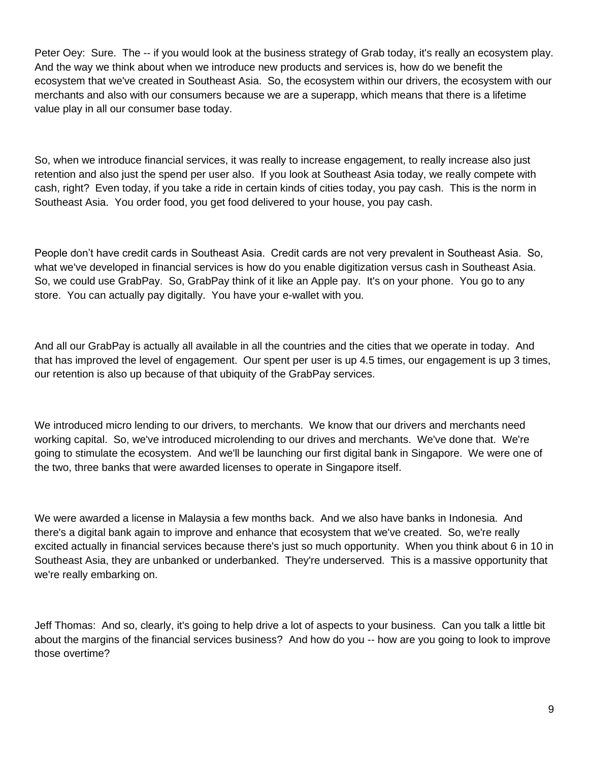Peter Oey: Sure. The -- if you would look at the business strategy of Grab today, it's really an ecosystem play. And the way we think about when we introduce new products and services is, how do we benefit the ecosystem that we've created in Southeast Asia. So, the ecosystem within our drivers, the ecosystem with our merchants and also with our consumers because we are a superapp, which means that there is a lifetime value play in all our consumer base today.

So, when we introduce financial services, it was really to increase engagement, to really increase also just retention and also just the spend per user also. If you look at Southeast Asia today, we really compete with cash, right? Even today, if you take a ride in certain kinds of cities today, you pay cash. This is the norm in Southeast Asia. You order food, you get food delivered to your house, you pay cash.

People don't have credit cards in Southeast Asia. Credit cards are not very prevalent in Southeast Asia. So, what we've developed in financial services is how do you enable digitization versus cash in Southeast Asia. So, we could use GrabPay. So, GrabPay think of it like an Apple pay. It's on your phone. You go to any store. You can actually pay digitally. You have your e-wallet with you.

And all our GrabPay is actually all available in all the countries and the cities that we operate in today. And that has improved the level of engagement. Our spent per user is up 4.5 times, our engagement is up 3 times, our retention is also up because of that ubiquity of the GrabPay services.

We introduced micro lending to our drivers, to merchants. We know that our drivers and merchants need working capital. So, we've introduced microlending to our drives and merchants. We've done that. We're going to stimulate the ecosystem. And we'll be launching our first digital bank in Singapore. We were one of the two, three banks that were awarded licenses to operate in Singapore itself.

We were awarded a license in Malaysia a few months back. And we also have banks in Indonesia. And there's a digital bank again to improve and enhance that ecosystem that we've created. So, we're really excited actually in financial services because there's just so much opportunity. When you think about 6 in 10 in Southeast Asia, they are unbanked or underbanked. They're underserved. This is a massive opportunity that we're really embarking on.

Jeff Thomas: And so, clearly, it's going to help drive a lot of aspects to your business. Can you talk a little bit about the margins of the financial services business? And how do you -- how are you going to look to improve those overtime?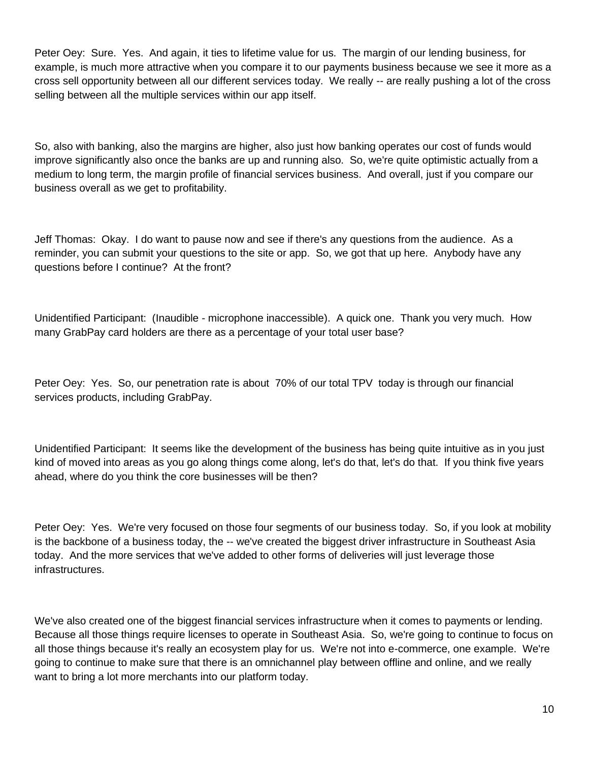Peter Oey: Sure. Yes. And again, it ties to lifetime value for us. The margin of our lending business, for example, is much more attractive when you compare it to our payments business because we see it more as a cross sell opportunity between all our different services today. We really -- are really pushing a lot of the cross selling between all the multiple services within our app itself.

So, also with banking, also the margins are higher, also just how banking operates our cost of funds would improve significantly also once the banks are up and running also. So, we're quite optimistic actually from a medium to long term, the margin profile of financial services business. And overall, just if you compare our business overall as we get to profitability.

Jeff Thomas: Okay. I do want to pause now and see if there's any questions from the audience. As a reminder, you can submit your questions to the site or app. So, we got that up here. Anybody have any questions before I continue? At the front?

Unidentified Participant: (Inaudible - microphone inaccessible). A quick one. Thank you very much. How many GrabPay card holders are there as a percentage of your total user base?

Peter Oey: Yes. So, our penetration rate is about 70% of our total TPV today is through our financial services products, including GrabPay.

Unidentified Participant: It seems like the development of the business has being quite intuitive as in you just kind of moved into areas as you go along things come along, let's do that, let's do that. If you think five years ahead, where do you think the core businesses will be then?

Peter Oey: Yes. We're very focused on those four segments of our business today. So, if you look at mobility is the backbone of a business today, the -- we've created the biggest driver infrastructure in Southeast Asia today. And the more services that we've added to other forms of deliveries will just leverage those infrastructures.

We've also created one of the biggest financial services infrastructure when it comes to payments or lending. Because all those things require licenses to operate in Southeast Asia. So, we're going to continue to focus on all those things because it's really an ecosystem play for us. We're not into e-commerce, one example. We're going to continue to make sure that there is an omnichannel play between offline and online, and we really want to bring a lot more merchants into our platform today.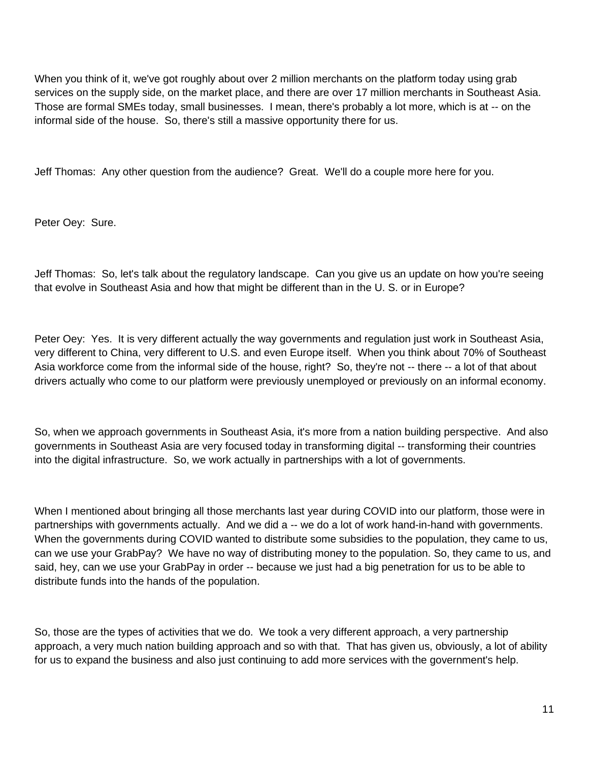When you think of it, we've got roughly about over 2 million merchants on the platform today using grab services on the supply side, on the market place, and there are over 17 million merchants in Southeast Asia. Those are formal SMEs today, small businesses. I mean, there's probably a lot more, which is at -- on the informal side of the house. So, there's still a massive opportunity there for us.

Jeff Thomas: Any other question from the audience? Great. We'll do a couple more here for you.

Peter Oey: Sure.

Jeff Thomas: So, let's talk about the regulatory landscape. Can you give us an update on how you're seeing that evolve in Southeast Asia and how that might be different than in the U. S. or in Europe?

Peter Oey: Yes. It is very different actually the way governments and regulation just work in Southeast Asia, very different to China, very different to U.S. and even Europe itself. When you think about 70% of Southeast Asia workforce come from the informal side of the house, right? So, they're not -- there -- a lot of that about drivers actually who come to our platform were previously unemployed or previously on an informal economy.

So, when we approach governments in Southeast Asia, it's more from a nation building perspective. And also governments in Southeast Asia are very focused today in transforming digital -- transforming their countries into the digital infrastructure. So, we work actually in partnerships with a lot of governments.

When I mentioned about bringing all those merchants last year during COVID into our platform, those were in partnerships with governments actually. And we did a -- we do a lot of work hand-in-hand with governments. When the governments during COVID wanted to distribute some subsidies to the population, they came to us, can we use your GrabPay? We have no way of distributing money to the population. So, they came to us, and said, hey, can we use your GrabPay in order -- because we just had a big penetration for us to be able to distribute funds into the hands of the population.

So, those are the types of activities that we do. We took a very different approach, a very partnership approach, a very much nation building approach and so with that. That has given us, obviously, a lot of ability for us to expand the business and also just continuing to add more services with the government's help.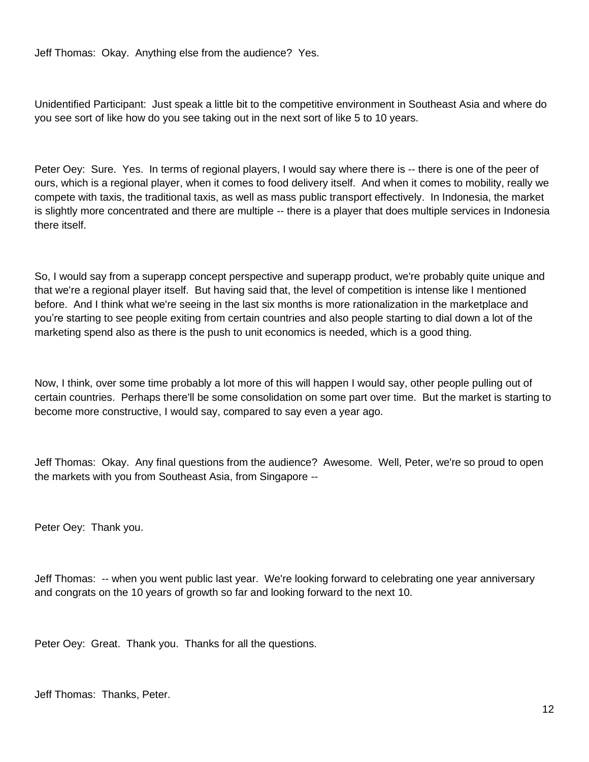Jeff Thomas: Okay. Anything else from the audience? Yes.

Unidentified Participant: Just speak a little bit to the competitive environment in Southeast Asia and where do you see sort of like how do you see taking out in the next sort of like 5 to 10 years.

Peter Oey: Sure. Yes. In terms of regional players, I would say where there is -- there is one of the peer of ours, which is a regional player, when it comes to food delivery itself. And when it comes to mobility, really we compete with taxis, the traditional taxis, as well as mass public transport effectively. In Indonesia, the market is slightly more concentrated and there are multiple -- there is a player that does multiple services in Indonesia there itself.

So, I would say from a superapp concept perspective and superapp product, we're probably quite unique and that we're a regional player itself. But having said that, the level of competition is intense like I mentioned before. And I think what we're seeing in the last six months is more rationalization in the marketplace and you're starting to see people exiting from certain countries and also people starting to dial down a lot of the marketing spend also as there is the push to unit economics is needed, which is a good thing.

Now, I think, over some time probably a lot more of this will happen I would say, other people pulling out of certain countries. Perhaps there'll be some consolidation on some part over time. But the market is starting to become more constructive, I would say, compared to say even a year ago.

Jeff Thomas: Okay. Any final questions from the audience? Awesome. Well, Peter, we're so proud to open the markets with you from Southeast Asia, from Singapore --

Peter Oey: Thank you.

Jeff Thomas: -- when you went public last year. We're looking forward to celebrating one year anniversary and congrats on the 10 years of growth so far and looking forward to the next 10.

Peter Oey: Great. Thank you. Thanks for all the questions.